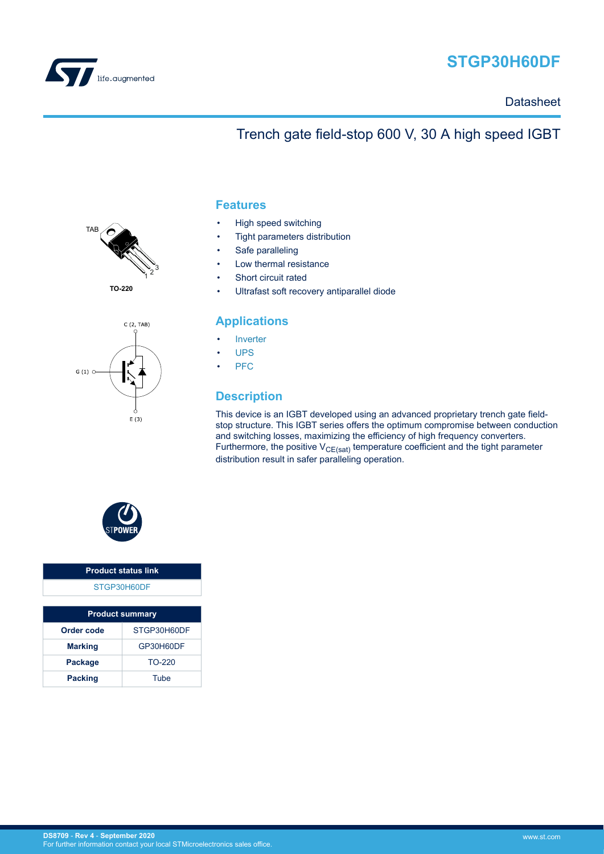

# **STGP30H60DF**

**Datasheet** 

# Trench gate field-stop 600 V, 30 A high speed IGBT



**TO-220**



#### **Features**

- High speed switching
- Tight parameters distribution
- Safe paralleling
- Low thermal resistance
- Short circuit rated
- Ultrafast soft recovery antiparallel diode

#### **Applications**

- **[Inverter](https://www.st.com/en/applications/energy-generation-and-distribution/solar-inverters-string-and-central.html?ecmp=tt9471_gl_link_feb2019&rt=ds&id=DS8709)**
- [UPS](https://www.st.com/en/applications/power-supplies-and-converters/uninterruptable-power-supplies-ups.html?ecmp=tt9471_gl_link_feb2019&rt=ds&id=DS8709)
- [PFC](https://www.st.com/en/applications/power-supplies-and-converters/pfc-converter-single-phase-input.html?ecmp=tt9471_gl_link_feb2019&rt=ds&id=DS8709)

### **Description**

This device is an IGBT developed using an advanced proprietary trench gate fieldstop structure. This IGBT series offers the optimum compromise between conduction and switching losses, maximizing the efficiency of high frequency converters. Furthermore, the positive  $V_{CE(sat)}$  temperature coefficient and the tight parameter distribution result in safer paralleling operation.



#### **Product status link** [STGP30H60DF](https://www.st.com/en/product/STGB30H60DFB?ecmp=tt9470_gl_link_feb2019&rt=ds&id=DS8709)

| <b>Product summary</b> |             |  |  |
|------------------------|-------------|--|--|
| Order code             | STGP30H60DF |  |  |
| <b>Marking</b>         | GP30H60DF   |  |  |
| <b>Package</b>         | $TO-220$    |  |  |
| <b>Packing</b>         | Tube        |  |  |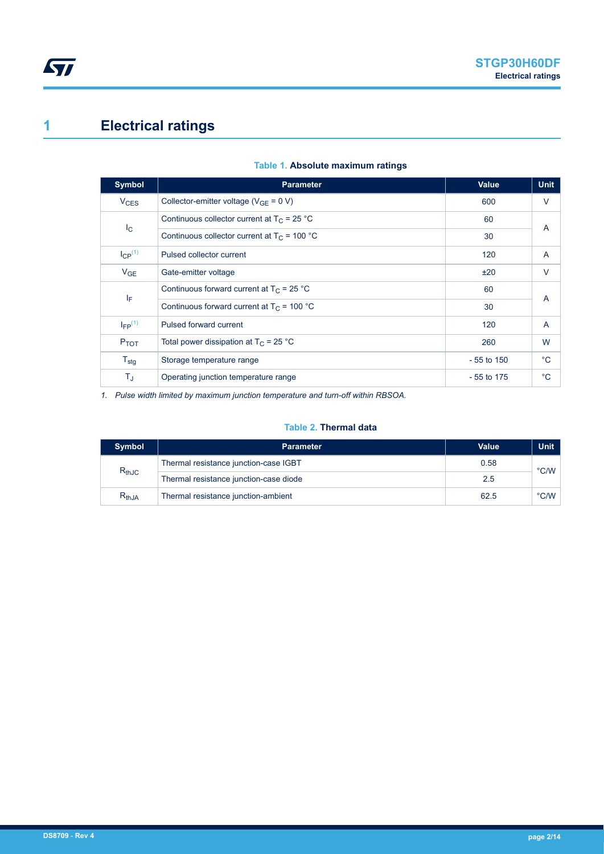# <span id="page-1-0"></span>**1 Electrical ratings**

| <b>Symbol</b>           | <b>Parameter</b>                               | Value        | <b>Unit</b> |
|-------------------------|------------------------------------------------|--------------|-------------|
| $V_{CES}$               | Collector-emitter voltage ( $V_{GE}$ = 0 V)    | 600          | V           |
|                         | Continuous collector current at $T_C = 25 °C$  | 60           | A           |
| $I_{\rm C}$             | Continuous collector current at $T_c$ = 100 °C | 30           |             |
| $I_{CP}^{(1)}$          | Pulsed collector current                       | 120          | A           |
| V <sub>GE</sub>         | Gate-emitter voltage                           | ±20          | V           |
|                         | Continuous forward current at $T_C = 25 °C$    | 60           | A           |
| ΙF                      | Continuous forward current at $T_C$ = 100 °C   | 30           |             |
| $I_{FP}$ <sup>(1)</sup> | Pulsed forward current                         | 120          | A           |
| P <sub>TOT</sub>        | Total power dissipation at $T_C = 25 °C$       | 260          | W           |
| $T_{\text{stg}}$        | Storage temperature range                      | $-55$ to 150 | °C          |
| $T_J$                   | Operating junction temperature range           | $-55$ to 175 | $^{\circ}C$ |

#### **Table 1. Absolute maximum ratings**

*1. Pulse width limited by maximum junction temperature and turn-off within RBSOA.*

#### **Table 2. Thermal data**

| <b>Symbol</b> | <b>Parameter</b>                       | <b>Value</b> | <b>Unit</b>            |  |
|---------------|----------------------------------------|--------------|------------------------|--|
|               | Thermal resistance junction-case IGBT  | 0.58         | $^{\circ}$ C/W $\vert$ |  |
| $R_{thJC}$    | Thermal resistance junction-case diode | 2.5          |                        |  |
| $R_{thJA}$    | Thermal resistance junction-ambient    | 62.5         | $\degree$ C/W          |  |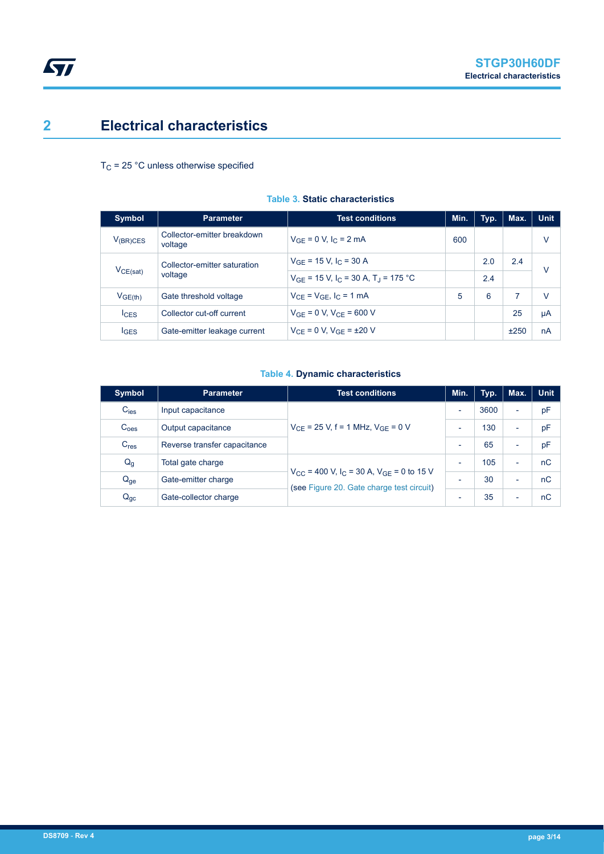## <span id="page-2-0"></span>**2 Electrical characteristics**

#### $T_C$  = 25 °C unless otherwise specified

| <b>Symbol</b>       | <b>Parameter</b>                        | <b>Test conditions</b>                                          | Min. | Typ. | Max. | <b>Unit</b> |
|---------------------|-----------------------------------------|-----------------------------------------------------------------|------|------|------|-------------|
| $V_{(BR)CES}$       | Collector-emitter breakdown<br>voltage  | $V_{GE} = 0 V, I_C = 2 mA$                                      | 600  |      |      | V           |
|                     | Collector-emitter saturation<br>voltage | $V_{GF}$ = 15 V, I <sub>C</sub> = 30 A                          |      | 2.0  | 2.4  | V           |
| VCE(sat)            |                                         | $V_{GF}$ = 15 V, I <sub>C</sub> = 30 A, T <sub>J</sub> = 175 °C |      | 2.4  |      |             |
| V <sub>GE(th)</sub> | Gate threshold voltage                  | $V_{CF} = V_{GF}$ , $I_C = 1$ mA                                | 5    | 6    | 7    | v           |
| $I_{CES}$           | Collector cut-off current               | $V_{GF} = 0 V, V_{CF} = 600 V$                                  |      |      | 25   | μA          |
| $I_{\text{GES}}$    | Gate-emitter leakage current            | $V_{CF} = 0 V$ , $V_{GF} = \pm 20 V$                            |      |      | ±250 | nA          |

#### **Table 3. Static characteristics**

#### **Table 4. Dynamic characteristics**

| <b>Symbol</b>    | <b>Parameter</b>             | <b>Test conditions</b>                                                                                                   | Min.                     | Typ. | Max.                     | <b>Unit</b> |
|------------------|------------------------------|--------------------------------------------------------------------------------------------------------------------------|--------------------------|------|--------------------------|-------------|
| $C_{\text{ies}}$ | Input capacitance            |                                                                                                                          | $\overline{\phantom{a}}$ | 3600 | ۰                        | pF          |
| C <sub>oes</sub> | Output capacitance           | $V_{CF}$ = 25 V, f = 1 MHz, $V_{GF}$ = 0 V                                                                               | $\overline{\phantom{0}}$ | 130  | $\overline{\phantom{0}}$ | pF          |
| $C_{res}$        | Reverse transfer capacitance |                                                                                                                          |                          | 65   | $\overline{\phantom{0}}$ | pF          |
| $Q_g$            | Total gate charge            |                                                                                                                          | $\overline{\phantom{a}}$ | 105  | $\overline{\phantom{0}}$ | nC          |
| $Q_{ge}$         | Gate-emitter charge          | $V_{\text{CC}}$ = 400 V, I <sub>C</sub> = 30 A, V <sub>GF</sub> = 0 to 15 V<br>(see Figure 20. Gate charge test circuit) | $\overline{\phantom{0}}$ | 30   | $\overline{\phantom{0}}$ | nC          |
| $Q_{gc}$         | Gate-collector charge        |                                                                                                                          | $\overline{\phantom{0}}$ | 35   | $\overline{\phantom{0}}$ | nC          |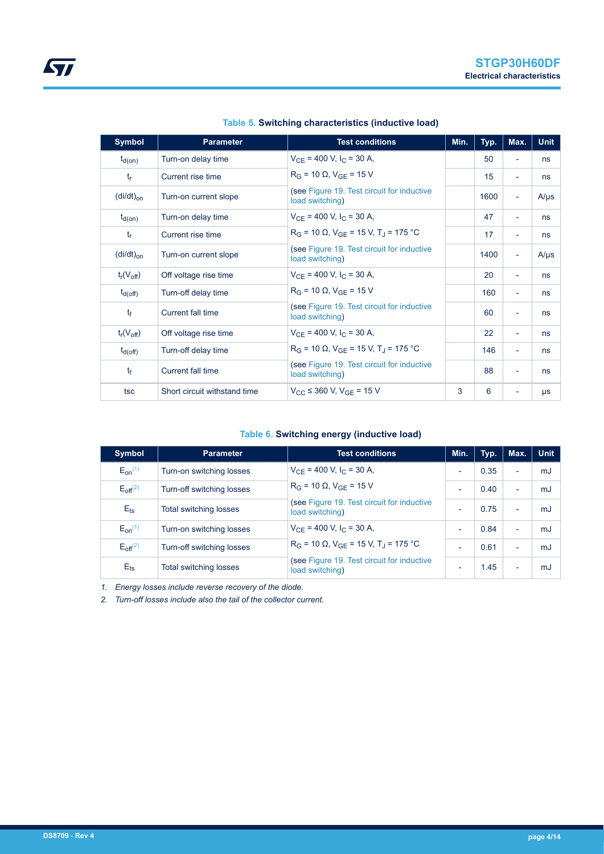<span id="page-3-0"></span>

| <b>Symbol</b>                     | <b>Parameter</b>             | <b>Test conditions</b>                                         | Min. | Typ. | Max.                     | <b>Unit</b> |
|-----------------------------------|------------------------------|----------------------------------------------------------------|------|------|--------------------------|-------------|
| $t_{d(on)}$                       | Turn-on delay time           | $V_{CF}$ = 400 V, I <sub>C</sub> = 30 A,                       |      | 50   | $\overline{\phantom{a}}$ | ns          |
| $t_{r}$                           | Current rise time            | $R_G = 10 \Omega$ , $V_{GF} = 15 V$                            |      | 15   | $\overline{\phantom{a}}$ | ns          |
| $(di/dt)_{on}$                    | Turn-on current slope        | (see Figure 19. Test circuit for inductive<br>load switching)  |      | 1600 | $\overline{\phantom{a}}$ | $A/\mu s$   |
| $t_{d(on)}$                       | Turn-on delay time           | $V_{CF}$ = 400 V, I <sub>C</sub> = 30 A,                       |      | 47   | $\overline{\phantom{a}}$ | ns          |
| $t_{r}$                           | Current rise time            | $R_G$ = 10 $\Omega$ , $V_{GF}$ = 15 V, T <sub>J</sub> = 175 °C |      | 17   | $\blacksquare$           | ns          |
| $\left(\frac{di}{dt}\right)_{on}$ | Turn-on current slope        | (see Figure 19. Test circuit for inductive<br>load switching)  |      | 1400 | $\overline{\phantom{a}}$ | $A/\mu s$   |
| $t_r(V_{off})$                    | Off voltage rise time        | $V_{CF}$ = 400 V, I <sub>C</sub> = 30 A,                       |      | 20   | $\overline{\phantom{a}}$ | ns          |
| $t_{d(Off)}$                      | Turn-off delay time          | $R_G = 10 \Omega$ , $V_{GF} = 15 V$                            |      | 160  | $\overline{\phantom{a}}$ | ns          |
| $t_{\rm f}$                       | <b>Current fall time</b>     | (see Figure 19. Test circuit for inductive<br>load switching)  |      | 60   | $\blacksquare$           | ns          |
| $t_r(V_{off})$                    | Off voltage rise time        | $V_{CE}$ = 400 V, I <sub>C</sub> = 30 A,                       |      | 22   | $\blacksquare$           | ns          |
| $t_{d(Off)}$                      | Turn-off delay time          | $R_G$ = 10 $\Omega$ , $V_{GF}$ = 15 V, T <sub>J</sub> = 175 °C |      | 146  | ٠                        | ns          |
| $t_{\rm f}$                       | <b>Current fall time</b>     | (see Figure 19. Test circuit for inductive<br>load switching)  |      | 88   | $\overline{\phantom{a}}$ | ns          |
| tsc                               | Short circuit withstand time | $V_{\text{CC}}$ $\leq$ 360 V, $V_{\text{GF}}$ = 15 V           | 3    | 6    | $\overline{\phantom{a}}$ | μs          |

|  | Table 5. Switching characteristics (inductive load) |  |
|--|-----------------------------------------------------|--|
|  |                                                     |  |

#### **Table 6. Switching energy (inductive load)**

| Symbol          | <b>Parameter</b>              | <b>Test conditions</b>                                         | Min.                     | Typ. | Max.                     | <b>Unit</b> |
|-----------------|-------------------------------|----------------------------------------------------------------|--------------------------|------|--------------------------|-------------|
| $E_{on}^{(1)}$  | Turn-on switching losses      | $V_{CF}$ = 400 V, I <sub>C</sub> = 30 A,                       | $\overline{\phantom{a}}$ | 0.35 | $\overline{\phantom{a}}$ | mJ          |
| $E_{off}^{(2)}$ | Turn-off switching losses     | $R_G = 10 \Omega$ , $V_{GF} = 15 V$                            | $\overline{\phantom{0}}$ | 0.40 | $\overline{\phantom{0}}$ | mJ          |
| $E_{\text{ts}}$ | <b>Total switching losses</b> | (see Figure 19. Test circuit for inductive<br>load switching)  |                          | 0.75 | $\overline{\phantom{0}}$ | mJ          |
| $E_{on}^{(1)}$  | Turn-on switching losses      | $V_{CE}$ = 400 V, I <sub>C</sub> = 30 A,                       |                          | 0.84 | $\overline{\phantom{0}}$ | mJ          |
| $E_{off}^{(2)}$ | Turn-off switching losses     | $R_G$ = 10 $\Omega$ , $V_{GE}$ = 15 V, T <sub>J</sub> = 175 °C | $\overline{\phantom{0}}$ | 0.61 | $\overline{\phantom{0}}$ | mJ          |
| $E_{\text{ts}}$ | <b>Total switching losses</b> | (see Figure 19. Test circuit for inductive<br>load switching)  | $\overline{\phantom{0}}$ | 1.45 | $\overline{\phantom{0}}$ | mJ          |

*1. Energy losses include reverse recovery of the diode.*

*2. Turn-off losses include also the tail of the collector current.*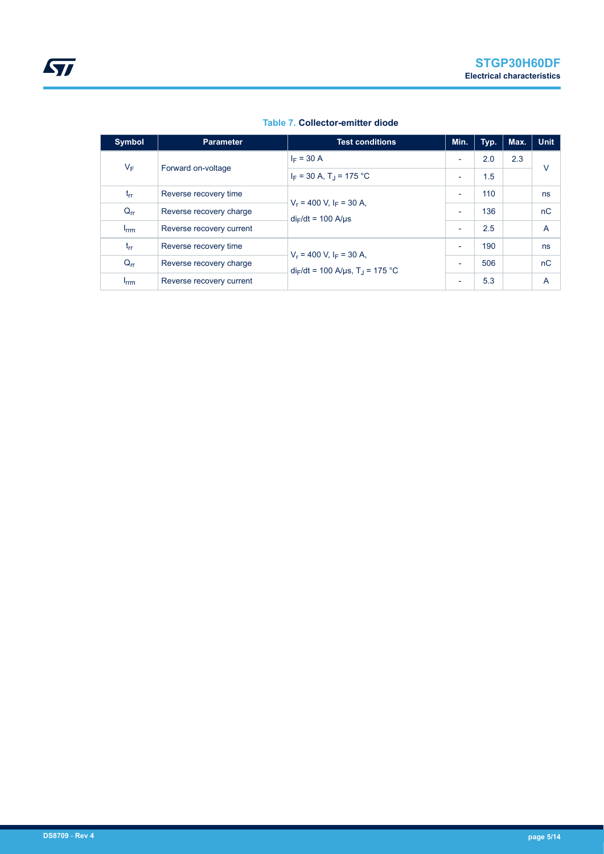<span id="page-4-0"></span>

| Symbol                 | <b>Parameter</b>         | <b>Test conditions</b>                                                        | Min.                     | Typ. | Max. | <b>Unit</b>    |
|------------------------|--------------------------|-------------------------------------------------------------------------------|--------------------------|------|------|----------------|
| $V_F$                  | Forward on-voltage       | $I_F = 30 A$                                                                  | $\overline{\phantom{0}}$ | 2.0  | 2.3  | $\vee$         |
|                        |                          | $I_F$ = 30 A, T <sub>J</sub> = 175 °C                                         | $\overline{\phantom{0}}$ | 1.5  |      |                |
| $t_{rr}$               | Reverse recovery time    | $V_r = 400$ V, $I_F = 30$ A,<br>$di_F/dt = 100$ A/us                          | $\overline{\phantom{a}}$ | 110  |      | ns             |
| $Q_{rr}$               | Reverse recovery charge  |                                                                               | $\overline{\phantom{0}}$ | 136  |      | nC             |
| <b>I</b> <sub>rm</sub> | Reverse recovery current |                                                                               | $\overline{\phantom{0}}$ | 2.5  |      | $\overline{A}$ |
| $t_{rr}$               | Reverse recovery time    | $V_r = 400$ V, $I_F = 30$ A,<br>$di_F/dt = 100$ A/µs, T <sub>J</sub> = 175 °C | $\overline{\phantom{0}}$ | 190  |      | ns             |
| $Q_{rr}$               | Reverse recovery charge  |                                                                               | $\overline{\phantom{0}}$ | 506  |      | nC             |
| <b>I</b> <sub>rm</sub> | Reverse recovery current |                                                                               | $\overline{\phantom{0}}$ | 5.3  |      | $\overline{A}$ |

#### **Table 7. Collector-emitter diode**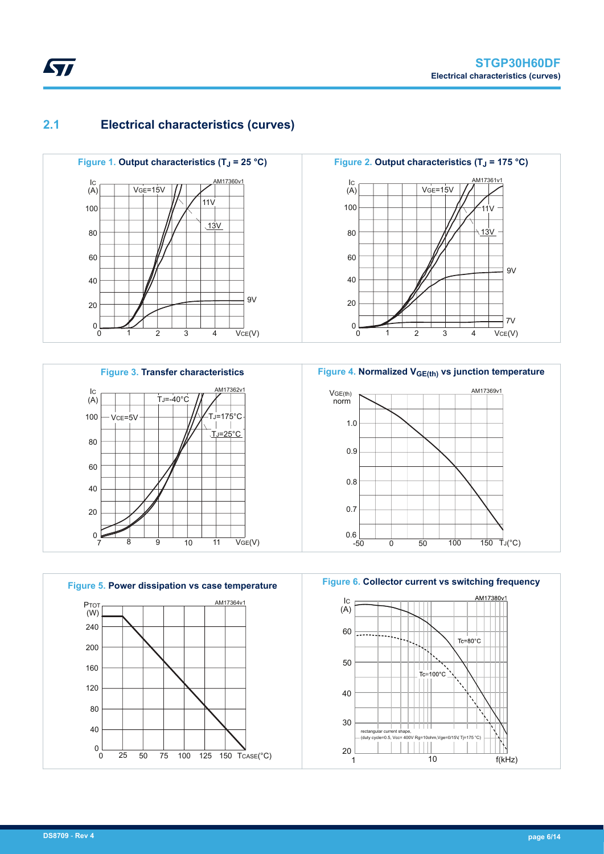## **2.1 Electrical characteristics (curves)**





**Figure 5. Power dissipation vs case temperature** PTOT 120 80 40  $0<sub>0</sub>$ 0 25 50 75 100 125 150 TCASE(°C)  $(W)$ 25 50 75 160 200 240 AM17364v1

**Figure 4. Normalized VGE(th) vs junction temperature**



**Figure 6. Collector current vs switching frequency**



<span id="page-5-0"></span>ST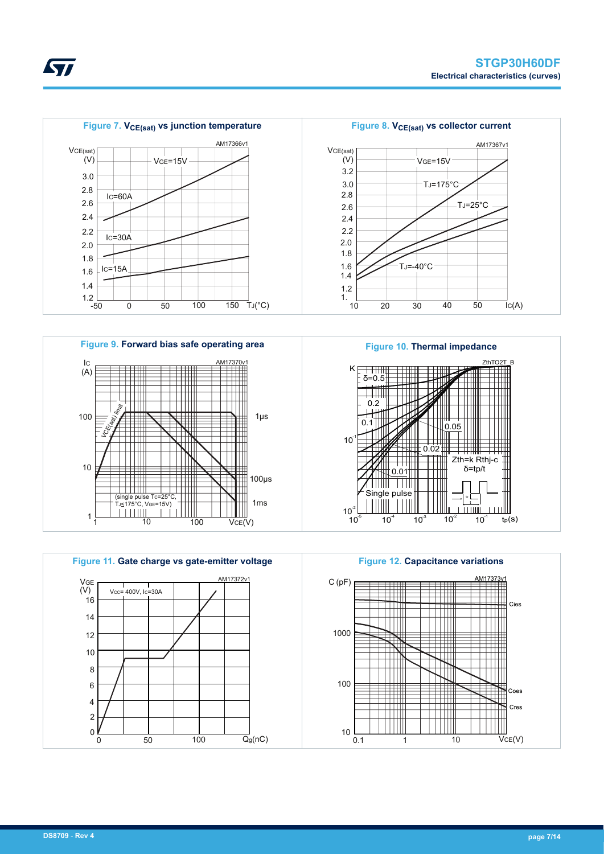











*STI*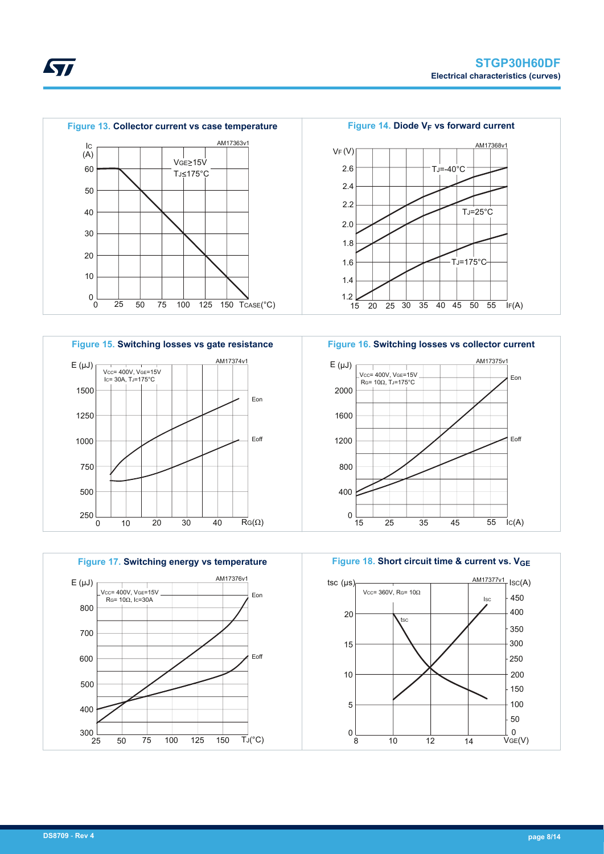

#### **Figure 15. Switching losses vs gate resistance**  $E(\mu J)$ 1000 750 500  $0$  10 20 30 40 RG(Ω) 10 VCC= 400V, VGE=15V IC= 30A, TJ=175°C 250 Eon Eoff 40 1250 1500 AM17374v1







**KY7**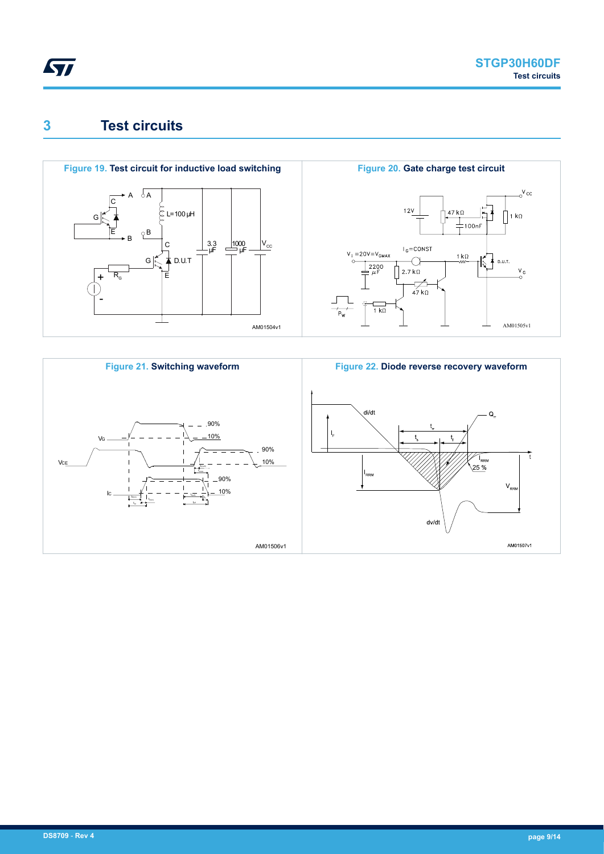<span id="page-8-0"></span>

## **3 Test circuits**





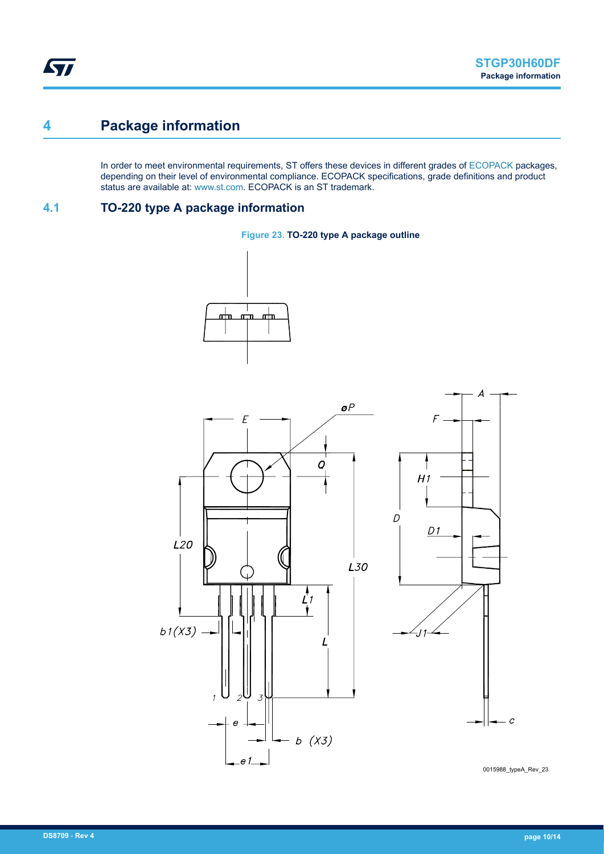## <span id="page-9-0"></span>**4 Package information**

In order to meet environmental requirements, ST offers these devices in different grades of [ECOPACK](https://www.st.com/ecopack) packages, depending on their level of environmental compliance. ECOPACK specifications, grade definitions and product status are available at: [www.st.com.](http://www.st.com) ECOPACK is an ST trademark.

#### **4.1 TO-220 type A package information**







 $D1$  $\overline{c}$ 

 $\overline{A}$ 

0015988\_typeA\_Rev\_23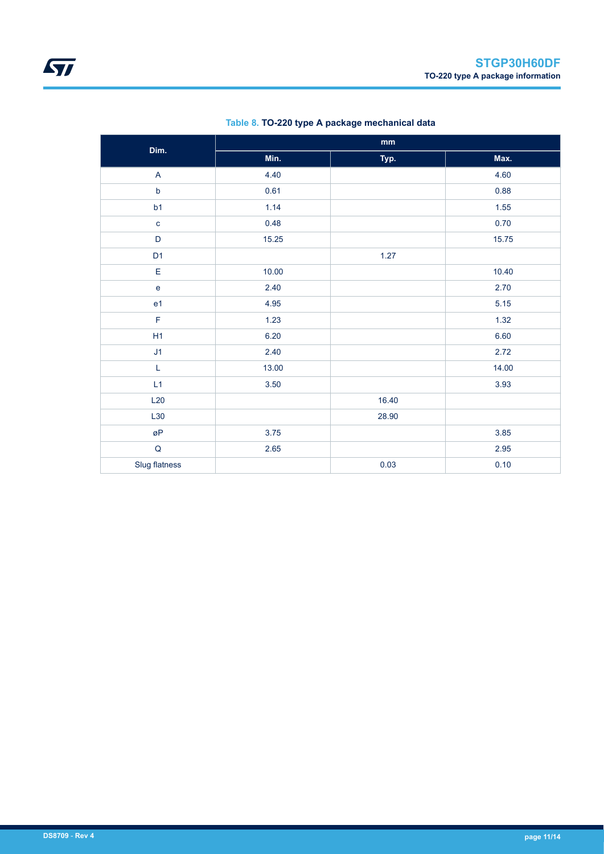| Dim.                                       | $\mathop{\text{mm}}\nolimits$ |       |       |  |  |
|--------------------------------------------|-------------------------------|-------|-------|--|--|
|                                            | Min.                          | Typ.  | Max.  |  |  |
| $\mathsf A$                                | 4.40                          |       | 4.60  |  |  |
| $\mathsf b$                                | 0.61                          |       | 0.88  |  |  |
| b1                                         | 1.14                          |       | 1.55  |  |  |
| $\mathbf c$                                | 0.48                          |       | 0.70  |  |  |
| D                                          | 15.25                         |       | 15.75 |  |  |
| D <sub>1</sub>                             |                               | 1.27  |       |  |  |
| E                                          | 10.00                         |       | 10.40 |  |  |
| $\mathsf{e}% _{0}\left( \mathsf{e}\right)$ | 2.40                          |       | 2.70  |  |  |
| e <sub>1</sub>                             | 4.95                          |       | 5.15  |  |  |
| $\mathsf F$                                | 1.23                          |       | 1.32  |  |  |
| H1                                         | 6.20                          |       | 6.60  |  |  |
| J1                                         | 2.40                          |       | 2.72  |  |  |
| L                                          | 13.00                         |       | 14.00 |  |  |
| L1                                         | 3.50                          |       | 3.93  |  |  |
| L20                                        |                               | 16.40 |       |  |  |
| L30                                        |                               | 28.90 |       |  |  |
| øP                                         | 3.75                          |       | 3.85  |  |  |
| ${\sf Q}$                                  | 2.65                          |       | 2.95  |  |  |
| Slug flatness                              |                               | 0.03  | 0.10  |  |  |

#### **Table 8. TO-220 type A package mechanical data**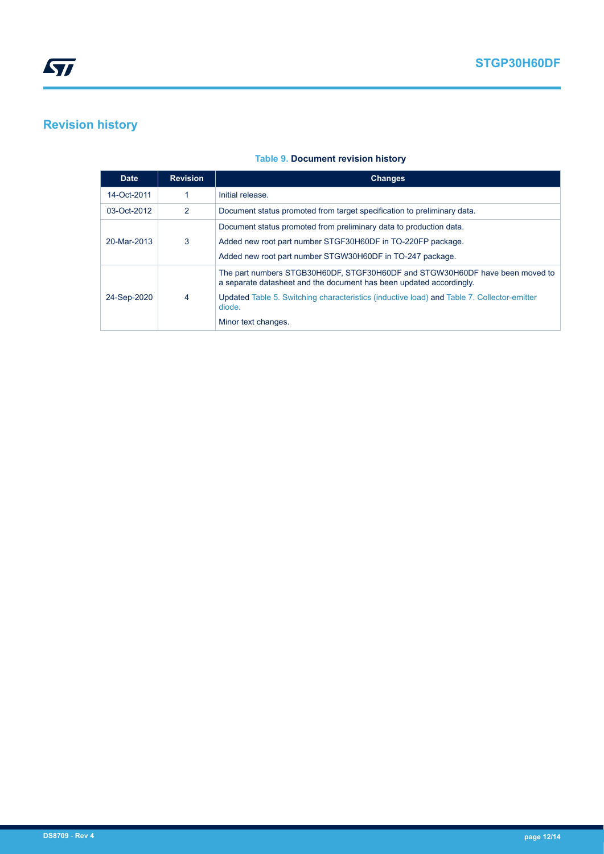### <span id="page-11-0"></span>**Revision history**

#### **Table 9. Document revision history**

| <b>Date</b> | <b>Revision</b> | <b>Changes</b>                                                                                                                                                                                                                                                                     |
|-------------|-----------------|------------------------------------------------------------------------------------------------------------------------------------------------------------------------------------------------------------------------------------------------------------------------------------|
| 14-Oct-2011 |                 | Initial release.                                                                                                                                                                                                                                                                   |
| 03-Oct-2012 | 2               | Document status promoted from target specification to preliminary data.                                                                                                                                                                                                            |
| 20-Mar-2013 | 3               | Document status promoted from preliminary data to production data.<br>Added new root part number STGF30H60DF in TO-220FP package.<br>Added new root part number STGW30H60DF in TO-247 package.                                                                                     |
| 24-Sep-2020 | 4               | The part numbers STGB30H60DF, STGF30H60DF and STGW30H60DF have been moved to<br>a separate datasheet and the document has been updated accordingly.<br>Updated Table 5. Switching characteristics (inductive load) and Table 7. Collector-emitter<br>diode.<br>Minor text changes. |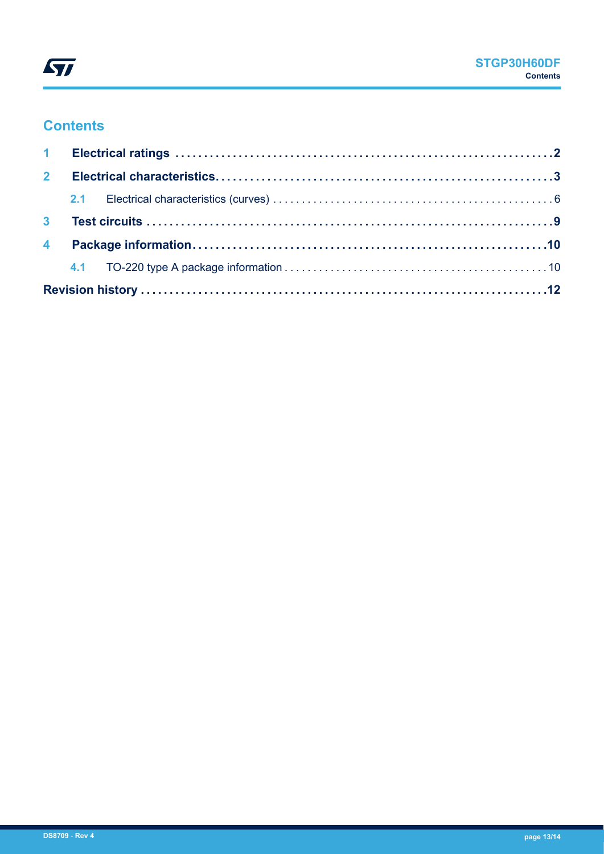

## **Contents**

| $2^{\circ}$ |  |  |
|-------------|--|--|
|             |  |  |
|             |  |  |
|             |  |  |
|             |  |  |
|             |  |  |